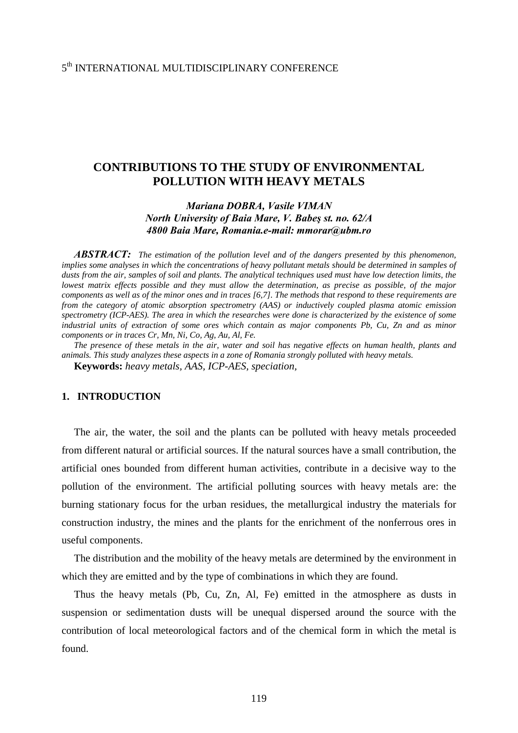# **CONTRIBUTIONS TO THE STUDY OF ENVIRONMENTAL POLLUTION WITH HEAVY METALS**

# *Mariana DOBRA, Vasile VIMAN North University of Baia Mare, V. Babeş st. no. 62/A 4800 Baia Mare, Romania.e-mail: mmorar@ubm.ro*

*ABSTRACT: The estimation of the pollution level and of the dangers presented by this phenomenon, implies some analyses in which the concentrations of heavy pollutant metals should be determined in samples of dusts from the air, samples of soil and plants. The analytical techniques used must have low detection limits, the lowest matrix effects possible and they must allow the determination, as precise as possible, of the major components as well as of the minor ones and in traces [6,7]. The methods that respond to these requirements are from the category of atomic absorption spectrometry (AAS) or inductively coupled plasma atomic emission spectrometry (ICP-AES). The area in which the researches were done is characterized by the existence of some industrial units of extraction of some ores which contain as major components Pb, Cu, Zn and as minor components or in traces Cr, Mn, Ni, Co, Ag, Au, Al, Fe.* 

*The presence of these metals in the air, water and soil has negative effects on human health, plants and animals. This study analyzes these aspects in a zone of Romania strongly polluted with heavy metals.* 

**Keywords:** *heavy metals, AAS, ICP-AES, speciation,* 

### **1. INTRODUCTION**

The air, the water, the soil and the plants can be polluted with heavy metals proceeded from different natural or artificial sources. If the natural sources have a small contribution, the artificial ones bounded from different human activities, contribute in a decisive way to the pollution of the environment. The artificial polluting sources with heavy metals are: the burning stationary focus for the urban residues, the metallurgical industry the materials for construction industry, the mines and the plants for the enrichment of the nonferrous ores in useful components.

The distribution and the mobility of the heavy metals are determined by the environment in which they are emitted and by the type of combinations in which they are found.

Thus the heavy metals (Pb, Cu, Zn, Al, Fe) emitted in the atmosphere as dusts in suspension or sedimentation dusts will be unequal dispersed around the source with the contribution of local meteorological factors and of the chemical form in which the metal is found.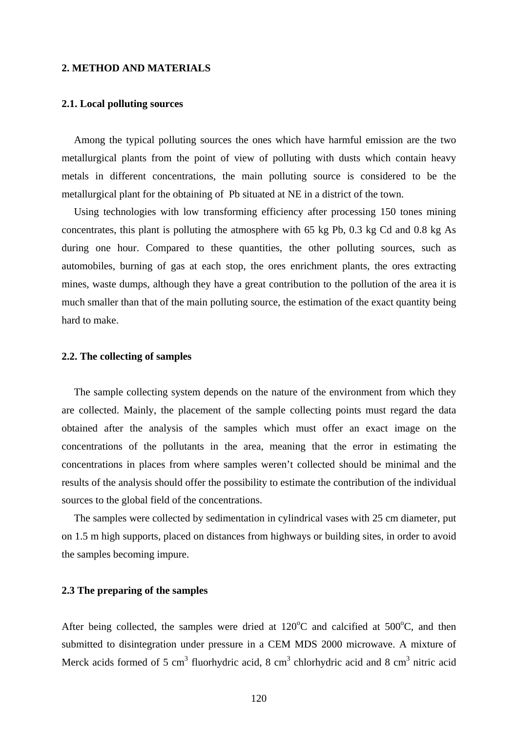#### **2. METHOD AND MATERIALS**

#### **2.1. Local polluting sources**

Among the typical polluting sources the ones which have harmful emission are the two metallurgical plants from the point of view of polluting with dusts which contain heavy metals in different concentrations, the main polluting source is considered to be the metallurgical plant for the obtaining of Pb situated at NE in a district of the town.

Using technologies with low transforming efficiency after processing 150 tones mining concentrates, this plant is polluting the atmosphere with 65 kg Pb, 0.3 kg Cd and 0.8 kg As during one hour. Compared to these quantities, the other polluting sources, such as automobiles, burning of gas at each stop, the ores enrichment plants, the ores extracting mines, waste dumps, although they have a great contribution to the pollution of the area it is much smaller than that of the main polluting source, the estimation of the exact quantity being hard to make.

#### **2.2. The collecting of samples**

The sample collecting system depends on the nature of the environment from which they are collected. Mainly, the placement of the sample collecting points must regard the data obtained after the analysis of the samples which must offer an exact image on the concentrations of the pollutants in the area, meaning that the error in estimating the concentrations in places from where samples weren't collected should be minimal and the results of the analysis should offer the possibility to estimate the contribution of the individual sources to the global field of the concentrations.

The samples were collected by sedimentation in cylindrical vases with 25 cm diameter, put on 1.5 m high supports, placed on distances from highways or building sites, in order to avoid the samples becoming impure.

#### **2.3 The preparing of the samples**

After being collected, the samples were dried at  $120^{\circ}$ C and calcified at  $500^{\circ}$ C, and then submitted to disintegration under pressure in a CEM MDS 2000 microwave. A mixture of Merck acids formed of 5 cm<sup>3</sup> fluorhydric acid, 8 cm<sup>3</sup> chlorhydric acid and 8 cm<sup>3</sup> nitric acid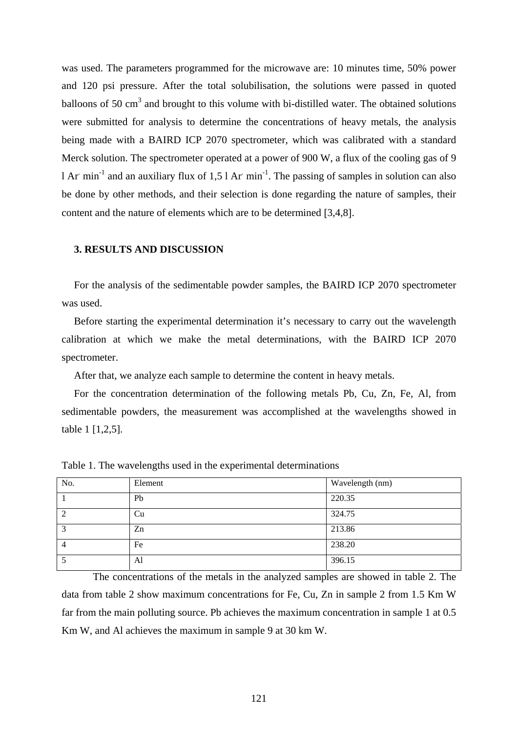was used. The parameters programmed for the microwave are: 10 minutes time, 50% power and 120 psi pressure. After the total solubilisation, the solutions were passed in quoted balloons of 50  $\text{cm}^3$  and brought to this volume with bi-distilled water. The obtained solutions were submitted for analysis to determine the concentrations of heavy metals, the analysis being made with a BAIRD ICP 2070 spectrometer, which was calibrated with a standard Merck solution. The spectrometer operated at a power of 900 W, a flux of the cooling gas of 9 1 Ar min<sup>-1</sup> and an auxiliary flux of 1,5 l Ar min<sup>-1</sup>. The passing of samples in solution can also be done by other methods, and their selection is done regarding the nature of samples, their content and the nature of elements which are to be determined [3,4,8].

#### **3. RESULTS AND DISCUSSION**

For the analysis of the sedimentable powder samples, the BAIRD ICP 2070 spectrometer was used.

Before starting the experimental determination it's necessary to carry out the wavelength calibration at which we make the metal determinations, with the BAIRD ICP 2070 spectrometer.

After that, we analyze each sample to determine the content in heavy metals.

For the concentration determination of the following metals Pb, Cu, Zn, Fe, Al, from sedimentable powders, the measurement was accomplished at the wavelengths showed in table 1 [1,2,5].

| No.       | Element | Wavelength (nm) |
|-----------|---------|-----------------|
|           | Pb      | 220.35          |
| ി         | Cu      | 324.75          |
| $\bigcap$ | Zn      | 213.86          |
|           | Fe      | 238.20          |
|           | Al      | 396.15          |

Table 1. The wavelengths used in the experimental determinations

The concentrations of the metals in the analyzed samples are showed in table 2. The data from table 2 show maximum concentrations for Fe, Cu, Zn in sample 2 from 1.5 Km W far from the main polluting source. Pb achieves the maximum concentration in sample 1 at 0.5 Km W, and Al achieves the maximum in sample 9 at 30 km W.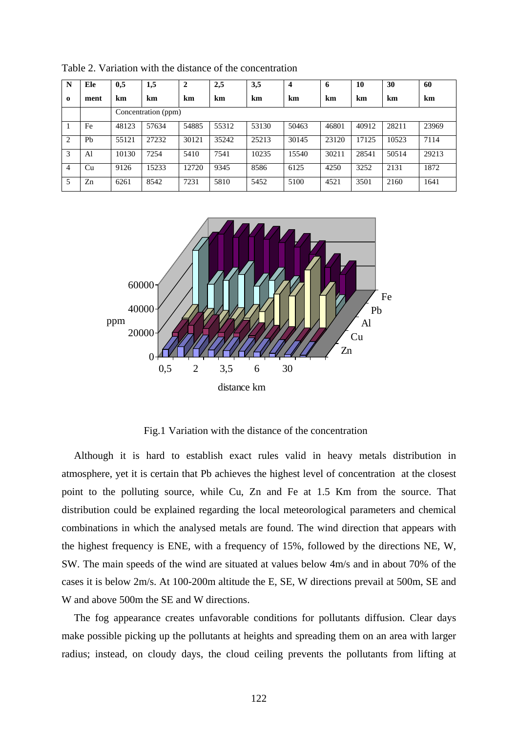| N              | Ele       | 0,5                 | 1,5   | $\mathbf{2}$ | 2,5   | 3,5   | $\boldsymbol{4}$ | 6     | 10    | 30    | 60    |  |
|----------------|-----------|---------------------|-------|--------------|-------|-------|------------------|-------|-------|-------|-------|--|
| $\Omega$       | ment      | km                  | km    | km           | km    | km    | km               | km    | km    | km    | km    |  |
|                |           | Concentration (ppm) |       |              |       |       |                  |       |       |       |       |  |
|                | Fe        | 48123               | 57634 | 54885        | 55312 | 53130 | 50463            | 46801 | 40912 | 28211 | 23969 |  |
| 2              | <b>Ph</b> | 55121               | 27232 | 30121        | 35242 | 25213 | 30145            | 23120 | 17125 | 10523 | 7114  |  |
| 3              | Al        | 10130               | 7254  | 5410         | 7541  | 10235 | 15540            | 30211 | 28541 | 50514 | 29213 |  |
| $\overline{4}$ | Cu        | 9126                | 15233 | 12720        | 9345  | 8586  | 6125             | 4250  | 3252  | 2131  | 1872  |  |
| 5              | Zn        | 6261                | 8542  | 7231         | 5810  | 5452  | 5100             | 4521  | 3501  | 2160  | 1641  |  |

Table 2. Variation with the distance of the concentration



Fig.1 Variation with the distance of the concentration

Although it is hard to establish exact rules valid in heavy metals distribution in atmosphere, yet it is certain that Pb achieves the highest level of concentration at the closest point to the polluting source, while Cu, Zn and Fe at 1.5 Km from the source. That distribution could be explained regarding the local meteorological parameters and chemical combinations in which the analysed metals are found. The wind direction that appears with the highest frequency is ENE, with a frequency of 15%, followed by the directions NE, W, SW. The main speeds of the wind are situated at values below 4m/s and in about 70% of the cases it is below 2m/s. At 100-200m altitude the E, SE, W directions prevail at 500m, SE and W and above 500m the SE and W directions.

The fog appearance creates unfavorable conditions for pollutants diffusion. Clear days make possible picking up the pollutants at heights and spreading them on an area with larger radius; instead, on cloudy days, the cloud ceiling prevents the pollutants from lifting at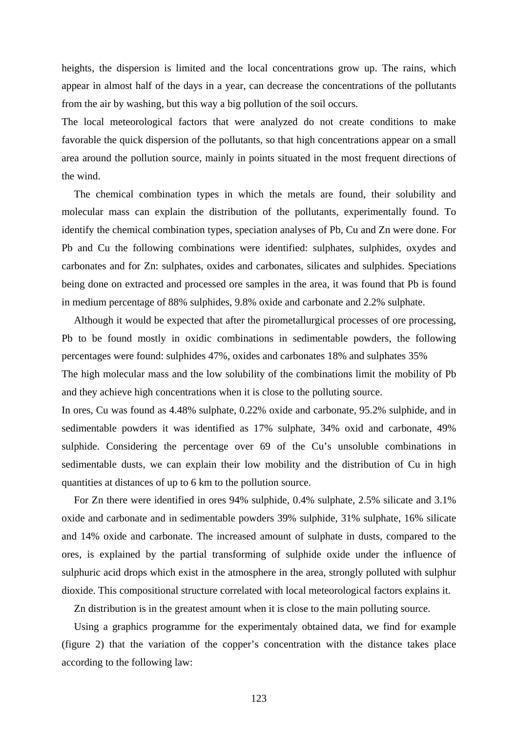heights, the dispersion is limited and the local concentrations grow up. The rains, which appear in almost half of the days in a year, can decrease the concentrations of the pollutants from the air by washing, but this way a big pollution of the soil occurs.

The local meteorological factors that were analyzed do not create conditions to make favorable the quick dispersion of the pollutants, so that high concentrations appear on a small area around the pollution source, mainly in points situated in the most frequent directions of the wind.

The chemical combination types in which the metals are found, their solubility and molecular mass can explain the distribution of the pollutants, experimentally found. To identify the chemical combination types, speciation analyses of Pb, Cu and Zn were done. For Pb and Cu the following combinations were identified: sulphates, sulphides, oxydes and carbonates and for Zn: sulphates, oxides and carbonates, silicates and sulphides. Speciations being done on extracted and processed ore samples in the area, it was found that Pb is found in medium percentage of 88% sulphides, 9.8% oxide and carbonate and 2.2% sulphate.

Although it would be expected that after the pirometallurgical processes of ore processing, Pb to be found mostly in oxidic combinations in sedimentable powders, the following percentages were found: sulphides 47%, oxides and carbonates 18% and sulphates 35%

The high molecular mass and the low solubility of the combinations limit the mobility of Pb and they achieve high concentrations when it is close to the polluting source.

In ores, Cu was found as 4.48% sulphate, 0.22% oxide and carbonate, 95.2% sulphide, and in sedimentable powders it was identified as 17% sulphate, 34% oxid and carbonate, 49% sulphide. Considering the percentage over 69 of the Cu's unsoluble combinations in sedimentable dusts, we can explain their low mobility and the distribution of Cu in high quantities at distances of up to 6 km to the pollution source.

 For Zn there were identified in ores 94% sulphide, 0.4% sulphate, 2.5% silicate and 3.1% oxide and carbonate and in sedimentable powders 39% sulphide, 31% sulphate, 16% silicate and 14% oxide and carbonate. The increased amount of sulphate in dusts, compared to the ores, is explained by the partial transforming of sulphide oxide under the influence of sulphuric acid drops which exist in the atmosphere in the area, strongly polluted with sulphur dioxide. This compositional structure correlated with local meteorological factors explains it.

Zn distribution is in the greatest amount when it is close to the main polluting source.

Using a graphics programme for the experimentaly obtained data, we find for example (figure 2) that the variation of the copper's concentration with the distance takes place according to the following law: